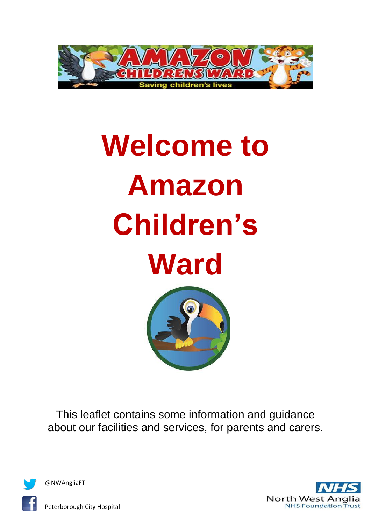

# **Welcome to Amazon Children's Ward**



This leaflet contains some information and guidance about our facilities and services, for parents and carers.





Peterborough City Hospital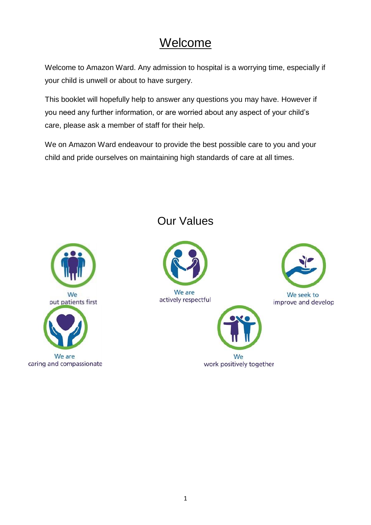## Welcome

Welcome to Amazon Ward. Any admission to hospital is a worrying time, especially if your child is unwell or about to have surgery.

This booklet will hopefully help to answer any questions you may have. However if you need any further information, or are worried about any aspect of your child's care, please ask a member of staff for their help.

We on Amazon Ward endeavour to provide the best possible care to you and your child and pride ourselves on maintaining high standards of care at all times.



#### Our Values



We are actively respectful



work positively together



We seek to improve and develop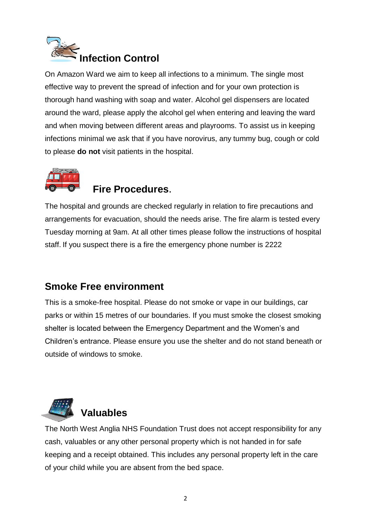

On Amazon Ward we aim to keep all infections to a minimum. The single most effective way to prevent the spread of infection and for your own protection is thorough hand washing with soap and water. Alcohol gel dispensers are located around the ward, please apply the alcohol gel when entering and leaving the ward and when moving between different areas and playrooms. To assist us in keeping infections minimal we ask that if you have norovirus, any tummy bug, cough or cold to please **do not** visit patients in the hospital.



#### **Fire Procedures**.

The hospital and grounds are checked regularly in relation to fire precautions and arrangements for evacuation, should the needs arise. The fire alarm is tested every Tuesday morning at 9am. At all other times please follow the instructions of hospital staff. If you suspect there is a fire the emergency phone number is 2222

#### **Smoke Free environment**

This is a smoke-free hospital. Please do not smoke or vape in our buildings, car parks or within 15 metres of our boundaries. If you must smoke the closest smoking shelter is located between the Emergency Department and the Women's and Children's entrance. Please ensure you use the shelter and do not stand beneath or outside of windows to smoke.



# **Valuables**

The North West Anglia NHS Foundation Trust does not accept responsibility for any cash, valuables or any other personal property which is not handed in for safe keeping and a receipt obtained. This includes any personal property left in the care of your child while you are absent from the bed space.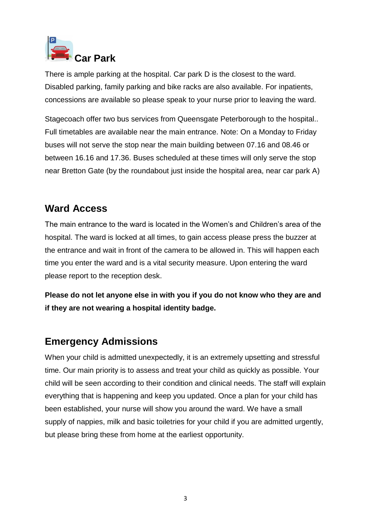

There is ample parking at the hospital. Car park D is the closest to the ward. Disabled parking, family parking and bike racks are also available. For inpatients, concessions are available so please speak to your nurse prior to leaving the ward.

Stagecoach offer two bus services from Queensgate Peterborough to the hospital.. Full timetables are available near the main entrance. Note: On a Monday to Friday buses will not serve the stop near the main building between 07.16 and 08.46 or between 16.16 and 17.36. Buses scheduled at these times will only serve the stop near Bretton Gate (by the roundabout just inside the hospital area, near car park A)

#### **Ward Access**

The main entrance to the ward is located in the Women's and Children's area of the hospital. The ward is locked at all times, to gain access please press the buzzer at the entrance and wait in front of the camera to be allowed in. This will happen each time you enter the ward and is a vital security measure. Upon entering the ward please report to the reception desk.

**Please do not let anyone else in with you if you do not know who they are and if they are not wearing a hospital identity badge.**

#### **Emergency Admissions**

When your child is admitted unexpectedly, it is an extremely upsetting and stressful time. Our main priority is to assess and treat your child as quickly as possible. Your child will be seen according to their condition and clinical needs. The staff will explain everything that is happening and keep you updated. Once a plan for your child has been established, your nurse will show you around the ward. We have a small supply of nappies, milk and basic toiletries for your child if you are admitted urgently, but please bring these from home at the earliest opportunity.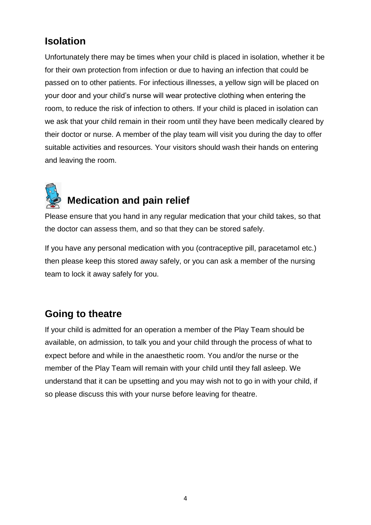#### **Isolation**

Unfortunately there may be times when your child is placed in isolation, whether it be for their own protection from infection or due to having an infection that could be passed on to other patients. For infectious illnesses, a yellow sign will be placed on your door and your child's nurse will wear protective clothing when entering the room, to reduce the risk of infection to others. If your child is placed in isolation can we ask that your child remain in their room until they have been medically cleared by their doctor or nurse. A member of the play team will visit you during the day to offer suitable activities and resources. Your visitors should wash their hands on entering and leaving the room.



### **Medication and pain relief**

Please ensure that you hand in any regular medication that your child takes, so that the doctor can assess them, and so that they can be stored safely.

If you have any personal medication with you (contraceptive pill, paracetamol etc.) then please keep this stored away safely, or you can ask a member of the nursing team to lock it away safely for you.

#### **Going to theatre**

If your child is admitted for an operation a member of the Play Team should be available, on admission, to talk you and your child through the process of what to expect before and while in the anaesthetic room. You and/or the nurse or the member of the Play Team will remain with your child until they fall asleep. We understand that it can be upsetting and you may wish not to go in with your child, if so please discuss this with your nurse before leaving for theatre.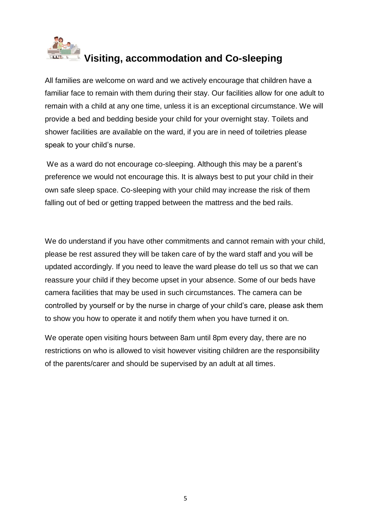

# **Visiting, accommodation and Co-sleeping**

All families are welcome on ward and we actively encourage that children have a familiar face to remain with them during their stay. Our facilities allow for one adult to remain with a child at any one time, unless it is an exceptional circumstance. We will provide a bed and bedding beside your child for your overnight stay. Toilets and shower facilities are available on the ward, if you are in need of toiletries please speak to your child's nurse.

We as a ward do not encourage co-sleeping. Although this may be a parent's preference we would not encourage this. It is always best to put your child in their own safe sleep space. Co-sleeping with your child may increase the risk of them falling out of bed or getting trapped between the mattress and the bed rails.

We do understand if you have other commitments and cannot remain with your child, please be rest assured they will be taken care of by the ward staff and you will be updated accordingly. If you need to leave the ward please do tell us so that we can reassure your child if they become upset in your absence. Some of our beds have camera facilities that may be used in such circumstances. The camera can be controlled by yourself or by the nurse in charge of your child's care, please ask them to show you how to operate it and notify them when you have turned it on.

We operate open visiting hours between 8am until 8pm every day, there are no restrictions on who is allowed to visit however visiting children are the responsibility of the parents/carer and should be supervised by an adult at all times.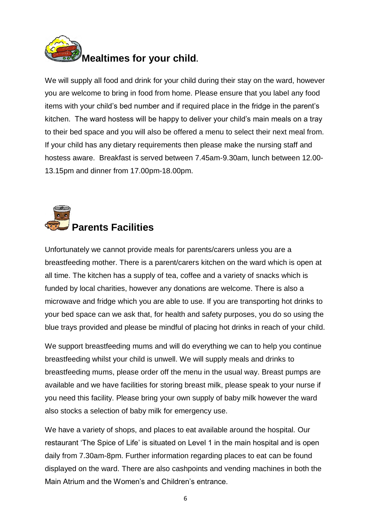

We will supply all food and drink for your child during their stay on the ward, however you are welcome to bring in food from home. Please ensure that you label any food items with your child's bed number and if required place in the fridge in the parent's kitchen. The ward hostess will be happy to deliver your child's main meals on a tray to their bed space and you will also be offered a menu to select their next meal from. If your child has any dietary requirements then please make the nursing staff and hostess aware. Breakfast is served between 7.45am-9.30am, lunch between 12.00- 13.15pm and dinner from 17.00pm-18.00pm.



Unfortunately we cannot provide meals for parents/carers unless you are a breastfeeding mother. There is a parent/carers kitchen on the ward which is open at all time. The kitchen has a supply of tea, coffee and a variety of snacks which is funded by local charities, however any donations are welcome. There is also a microwave and fridge which you are able to use. If you are transporting hot drinks to your bed space can we ask that, for health and safety purposes, you do so using the blue trays provided and please be mindful of placing hot drinks in reach of your child.

We support breastfeeding mums and will do everything we can to help you continue breastfeeding whilst your child is unwell. We will supply meals and drinks to breastfeeding mums, please order off the menu in the usual way. Breast pumps are available and we have facilities for storing breast milk, please speak to your nurse if you need this facility. Please bring your own supply of baby milk however the ward also stocks a selection of baby milk for emergency use.

We have a variety of shops, and places to eat available around the hospital. Our restaurant 'The Spice of Life' is situated on Level 1 in the main hospital and is open daily from 7.30am-8pm. Further information regarding places to eat can be found displayed on the ward. There are also cashpoints and vending machines in both the Main Atrium and the Women's and Children's entrance.

6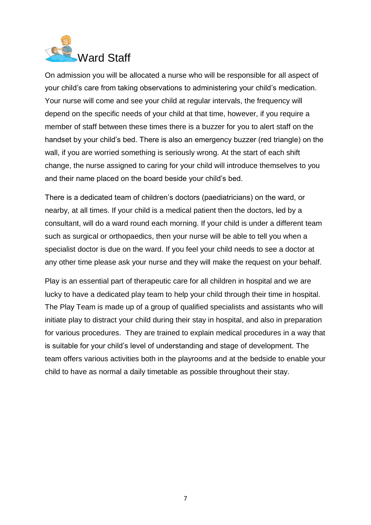

On admission you will be allocated a nurse who will be responsible for all aspect of your child's care from taking observations to administering your child's medication. Your nurse will come and see your child at regular intervals, the frequency will depend on the specific needs of your child at that time, however, if you require a member of staff between these times there is a buzzer for you to alert staff on the handset by your child's bed. There is also an emergency buzzer (red triangle) on the wall, if you are worried something is seriously wrong. At the start of each shift change, the nurse assigned to caring for your child will introduce themselves to you and their name placed on the board beside your child's bed.

There is a dedicated team of children's doctors (paediatricians) on the ward, or nearby, at all times. If your child is a medical patient then the doctors, led by a consultant, will do a ward round each morning. If your child is under a different team such as surgical or orthopaedics, then your nurse will be able to tell you when a specialist doctor is due on the ward. If you feel your child needs to see a doctor at any other time please ask your nurse and they will make the request on your behalf.

Play is an essential part of therapeutic care for all children in hospital and we are lucky to have a dedicated play team to help your child through their time in hospital. The Play Team is made up of a group of qualified specialists and assistants who will initiate play to distract your child during their stay in hospital, and also in preparation for various procedures. They are trained to explain medical procedures in a way that is suitable for your child's level of understanding and stage of development. The team offers various activities both in the playrooms and at the bedside to enable your child to have as normal a daily timetable as possible throughout their stay.

7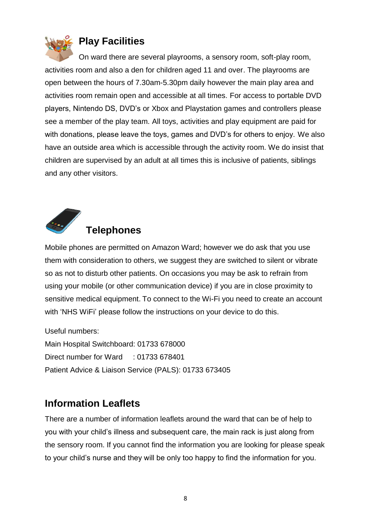

#### **Play Facilities**

On ward there are several playrooms, a sensory room, soft-play room, activities room and also a den for children aged 11 and over. The playrooms are open between the hours of 7.30am-5.30pm daily however the main play area and activities room remain open and accessible at all times. For access to portable DVD players, Nintendo DS, DVD's or Xbox and Playstation games and controllers please see a member of the play team. All toys, activities and play equipment are paid for with donations, please leave the toys, games and DVD's for others to enjoy. We also have an outside area which is accessible through the activity room. We do insist that children are supervised by an adult at all times this is inclusive of patients, siblings and any other visitors.



Mobile phones are permitted on Amazon Ward; however we do ask that you use them with consideration to others, we suggest they are switched to silent or vibrate so as not to disturb other patients. On occasions you may be ask to refrain from using your mobile (or other communication device) if you are in close proximity to sensitive medical equipment. To connect to the Wi-Fi you need to create an account with 'NHS WiFi' please follow the instructions on your device to do this.

Useful numbers: Main Hospital Switchboard: 01733 678000 Direct number for Ward : 01733 678401 Patient Advice & Liaison Service (PALS): 01733 673405

#### **Information Leaflets**

There are a number of information leaflets around the ward that can be of help to you with your child's illness and subsequent care, the main rack is just along from the sensory room. If you cannot find the information you are looking for please speak to your child's nurse and they will be only too happy to find the information for you.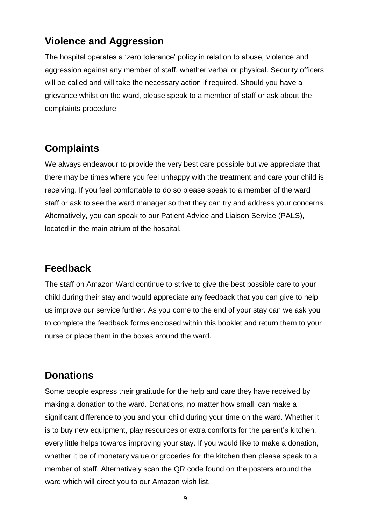#### **Violence and Aggression**

The hospital operates a 'zero tolerance' policy in relation to abuse, violence and aggression against any member of staff, whether verbal or physical. Security officers will be called and will take the necessary action if required. Should you have a grievance whilst on the ward, please speak to a member of staff or ask about the complaints procedure

#### **Complaints**

We always endeavour to provide the very best care possible but we appreciate that there may be times where you feel unhappy with the treatment and care your child is receiving. If you feel comfortable to do so please speak to a member of the ward staff or ask to see the ward manager so that they can try and address your concerns. Alternatively, you can speak to our Patient Advice and Liaison Service (PALS), located in the main atrium of the hospital.

#### **Feedback**

The staff on Amazon Ward continue to strive to give the best possible care to your child during their stay and would appreciate any feedback that you can give to help us improve our service further. As you come to the end of your stay can we ask you to complete the feedback forms enclosed within this booklet and return them to your nurse or place them in the boxes around the ward.

#### **Donations**

Some people express their gratitude for the help and care they have received by making a donation to the ward. Donations, no matter how small, can make a significant difference to you and your child during your time on the ward. Whether it is to buy new equipment, play resources or extra comforts for the parent's kitchen, every little helps towards improving your stay. If you would like to make a donation, whether it be of monetary value or groceries for the kitchen then please speak to a member of staff. Alternatively scan the QR code found on the posters around the ward which will direct you to our Amazon wish list.